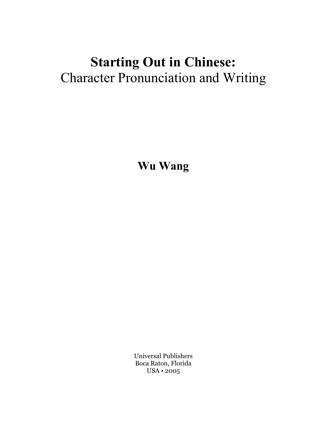## **Starting Out in Chinese:**  Character Pronunciation and Writing

**Wu Wang** 

Universal Publishers Boca Raton, Florida USA • 2005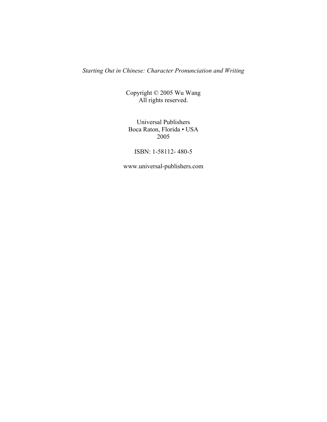*Starting Out in Chinese: Character Pronunciation and Writing* 

Copyright © 2005 Wu Wang All rights reserved.

Universal Publishers Boca Raton, Florida • USA 2005

ISBN: 1-58112- 480-5

www.universal-publishers.com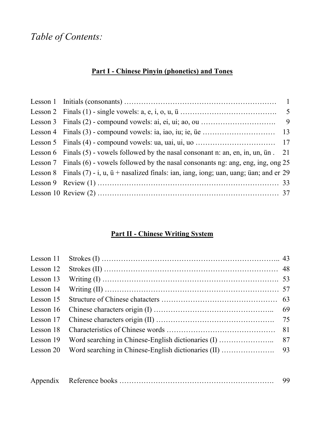### *Table of Contents:*

### **Part I - Chinese Pinyin (phonetics) and Tones**

| Lesson 6 Finals $(5)$ - vowels followed by the nasal consonant n: an, en, in, un, un. 21                |  |
|---------------------------------------------------------------------------------------------------------|--|
| Lesson 7 Finals $(6)$ - vowels followed by the nasal consonants ng: ang, eng, ing, ong 25               |  |
| Lesson 8 Finals $(7)$ - i, u, $\ddot{u}$ + nasalized finals: ian, iang, iong; uan, uang; uan; and er 29 |  |
|                                                                                                         |  |
|                                                                                                         |  |

### **Part II - Chinese Writing System**

| Lesson 14 Writing (II) $\ldots$ $\ldots$ $\ldots$ $\ldots$ $\ldots$ $\ldots$ $\ldots$ $\ldots$ 57 |  |
|---------------------------------------------------------------------------------------------------|--|
|                                                                                                   |  |
|                                                                                                   |  |
|                                                                                                   |  |
|                                                                                                   |  |
|                                                                                                   |  |
|                                                                                                   |  |

|--|--|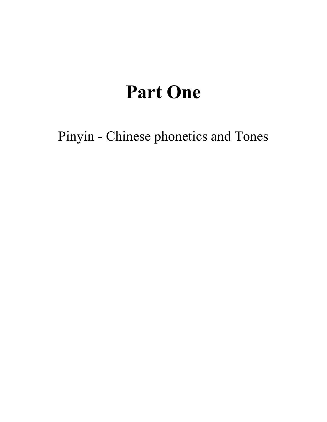# **Part One**

Pinyin - Chinese phonetics and Tones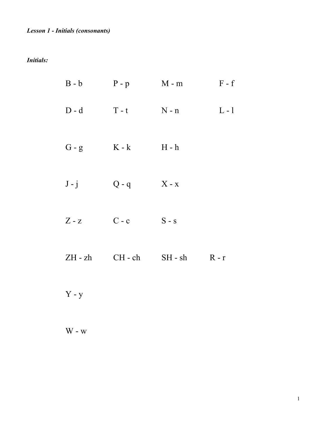*Initials:* 

| $B - b$   | $P - p$   | $M - m$     | $F - f$ |
|-----------|-----------|-------------|---------|
| $D - d$   | $T - t$   | $N - n$     | $L - 1$ |
| $G - g$   | $K - k$   | $H - h$     |         |
| $J - j$   | $Q - q$   | $X - x$     |         |
| $Z - z$   | $C - c$   | $S - s$     |         |
| $ZH - zh$ | $CH - ch$ | $SH$ - $sh$ | $R - r$ |
|           |           |             |         |

Y - y

 $W - w$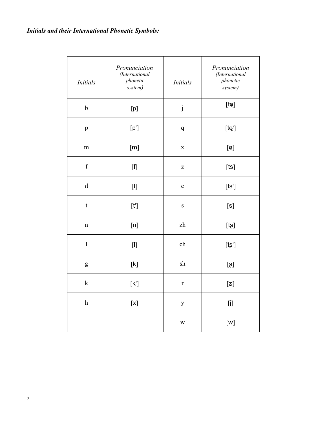| <b>Initials</b>           | Pronunciation<br>(International<br>phonetic<br>system)                                                                                                                                                                                                                                                                                                                                                                                                                                                                                                         | <b>Initials</b> | Pronunciation<br>(International<br>phonetic<br>system)                                                                                                                                                                                                                                                                                                                                                                                                                                                    |
|---------------------------|----------------------------------------------------------------------------------------------------------------------------------------------------------------------------------------------------------------------------------------------------------------------------------------------------------------------------------------------------------------------------------------------------------------------------------------------------------------------------------------------------------------------------------------------------------------|-----------------|-----------------------------------------------------------------------------------------------------------------------------------------------------------------------------------------------------------------------------------------------------------------------------------------------------------------------------------------------------------------------------------------------------------------------------------------------------------------------------------------------------------|
| $\mathbf b$               | $[{\mathsf p}]$                                                                                                                                                                                                                                                                                                                                                                                                                                                                                                                                                | $\mathbf{j}$    | $[td] % \begin{center} % \includegraphics[width=\linewidth]{imagesSupplemental_3.png} % \end{center} % \caption { % \textit{DefNet} and { \textit{DefNet}~\textit{DefNet}~\textit{DefNet}~\textit{DefNet}~\textit{DefNet}~\textit{DefNet}~\textit{DefNet}~\textit{DefNet}~\textit{DefNet}~\textit{DefNet}~\textit{DefNet}~\textit{DefNet}~\textit{DefNet}~\textit{DefNet}~\textit{DefNet}~\textit{DefNet}~\textit{DefNet}~\textit{DefNet}~\textit{DefNet}~\textit{DefNet}~\textit{DefNet}~\textit{DefNet$ |
| p                         | [p']                                                                                                                                                                                                                                                                                                                                                                                                                                                                                                                                                           | q               | [t@']                                                                                                                                                                                                                                                                                                                                                                                                                                                                                                     |
| m                         | [m]                                                                                                                                                                                                                                                                                                                                                                                                                                                                                                                                                            | $\mathbf X$     | $\left[\mathtt{Q}\right]$                                                                                                                                                                                                                                                                                                                                                                                                                                                                                 |
| $\mathbf f$               | $[f] % \begin{center} % \includegraphics[width=\linewidth]{imagesSupplemental_3.png} % \end{center} % \caption { % Our method can be used for the use of the image. % Note that the \emph{Left:} \label{fig:case} %$                                                                                                                                                                                                                                                                                                                                           | Z               | [ts]                                                                                                                                                                                                                                                                                                                                                                                                                                                                                                      |
| $\rm d$                   | $[t]$                                                                                                                                                                                                                                                                                                                                                                                                                                                                                                                                                          | $\mathbf c$     | $[ts^{\prime}]% \includegraphics*[width=0.9\columnwidth]{figures/2a}% \label{fig:2}%$                                                                                                                                                                                                                                                                                                                                                                                                                     |
| $\mathbf t$               | $[t!]% \centering \subfloat[\centering ]{{\includegraphics[width=0.22\textwidth]{figs-pr2.png}}}% \qquad \subfloat[\centering ]{{\includegraphics[width=0.22\textwidth]{figs-pr2.png}}}% \caption{The 3D (top) and the 4D (bottom) of the 3D (bottom) and the 4D (bottom) of the 3D (bottom) of the 3D (bottom) of the 3D (bottom) of the 3D (bottom) of the 3D (bottom) of the 3D (bottom) of the 3D (bottom) of the 3D (bottom) of the 3D (bottom) of the 3D (bottom) of the 3D (bottom) of the 3D (bottom) of the 3D (bottom) of the 3D (bottom) of the 3D$ | $\mathbf S$     | [s]                                                                                                                                                                                                                                                                                                                                                                                                                                                                                                       |
| $\mathbf n$               | [n]                                                                                                                                                                                                                                                                                                                                                                                                                                                                                                                                                            | zh              | [t <sub>5</sub> ]                                                                                                                                                                                                                                                                                                                                                                                                                                                                                         |
| $\mathbf{l}$              | $[] \centering% \begin{subfigure}[t]{0.45\textwidth} \includegraphics[width=\textwidth]{figs/fig_10000.pdf} \caption{The 3D (left) and 4D (right) are the 3D (right) and 3D (right) are the 3D (right).} \label{fig:1} \end{subfigure} \vspace*{-1.0mm} \caption{The 3D (right) and 4D (right).} \label{fig:1}$                                                                                                                                                                                                                                                | ch              | [ts']                                                                                                                                                                                                                                                                                                                                                                                                                                                                                                     |
| g                         | $[{\sf k}]$                                                                                                                                                                                                                                                                                                                                                                                                                                                                                                                                                    | sh              | $[ \boldsymbol{\mathsf{s}} ]$                                                                                                                                                                                                                                                                                                                                                                                                                                                                             |
| $\bf k$                   | $[{\mathsf{k}}'] % \includegraphics[width=\textwidth]{images/Trn1.png} \caption{The figure shows the number of parameters in the left and right.} \label{Trn2}$                                                                                                                                                                                                                                                                                                                                                                                                | $\mathbf r$     | [z]                                                                                                                                                                                                                                                                                                                                                                                                                                                                                                       |
| $\boldsymbol{\mathrm{h}}$ | $\left[ \mathrm{\mathsf{x}}\right]$                                                                                                                                                                                                                                                                                                                                                                                                                                                                                                                            | $\mathbf{y}$    | $[] \centering \includegraphics[width=0.47\textwidth]{images/TrDiM1.png} \caption{The 3D (top) and 4D (bottom) are shown in the left and right.} \label{TrDiM1}$                                                                                                                                                                                                                                                                                                                                          |
|                           |                                                                                                                                                                                                                                                                                                                                                                                                                                                                                                                                                                | W               | [w]                                                                                                                                                                                                                                                                                                                                                                                                                                                                                                       |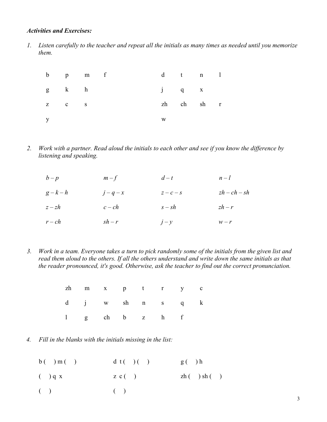### *Activities and Exercises:*

*1. Listen carefully to the teacher and repeat all the initials as many times as needed until you memorize them.* 

|  |       | b p m f       |           | $d$ t n 1  |  |
|--|-------|---------------|-----------|------------|--|
|  |       | $g \t k \t h$ | $j$ q $x$ |            |  |
|  | Z C S |               |           | zh ch sh r |  |
|  |       |               | W         |            |  |

*2. Work with a partner. Read aloud the initials to each other and see if you know the difference by listening and speaking.* 

| $b-p$    | $m-f$    | $d-t$    | $n-l$          |
|----------|----------|----------|----------------|
| $g-k-h$  | $j-q-x$  | $z-c-s$  | $zh - ch - sh$ |
| $z - zh$ | $c-ch$   | $s - sh$ | $zh - r$       |
| $r-ch$   | $sh - r$ | $j-y$    | $W - r$        |

*3. Work in a team. Everyone takes a turn to pick randomly some of the initials from the given list and read them aloud to the others. If all the others understand and write down the same initials as that the reader pronounced, it's good. Otherwise, ask the teacher to find out the correct pronunciation.* 

|  |  |  | zh m x p t r y c |  |
|--|--|--|------------------|--|
|  |  |  | d j w sh n s q k |  |
|  |  |  | 1 g ch b z h f   |  |

*4. Fill in the blanks with the initials missing in the list:* 

| b( )m( )  | dt()()          | g( )h       |
|-----------|-----------------|-------------|
| $($ ) q x | $Z \, c \, (-)$ | zh( ) sh( ) |
| (         | (               |             |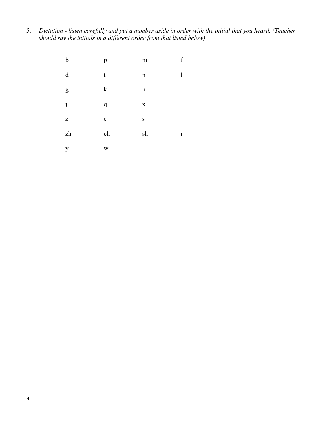5. *Dictation - listen carefully and put a number aside in order with the initial that you heard. (Teacher should say the initials in a different order from that listed below)* 

| b         | p                | ${\rm m}$               | $\boldsymbol{f}$ |
|-----------|------------------|-------------------------|------------------|
| d         | t                | $\mathbf n$             | 1                |
| ${\sf g}$ | $\mathbf k$      | $\boldsymbol{\text{h}}$ |                  |
| j         | $\boldsymbol{q}$ | $\mathbf X$             |                  |
| ${\bf Z}$ | $\mathbf{C}$     | ${\bf S}$               |                  |
| zh        | ch               | sh                      | $\mathbf r$      |
| y         | W                |                         |                  |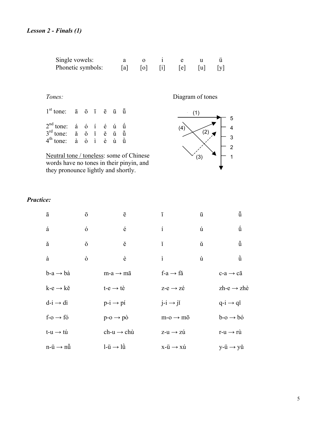| Single vowels:    |                   |   |                                                                               |  |
|-------------------|-------------------|---|-------------------------------------------------------------------------------|--|
| Phonetic symbols: | $[a]$ $[0]$ $[i]$ | e | $\begin{bmatrix} u \\ v \end{bmatrix}$ $\begin{bmatrix} y \\ y \end{bmatrix}$ |  |

 *Tones:* 

| $1st$ tone: $\bar{a}$ $\bar{0}$ $\bar{1}$ $\bar{e}$ $\bar{u}$ $\bar{u}$             |  |  |  |
|-------------------------------------------------------------------------------------|--|--|--|
| $2nd$ tone: á ó í é ú ú                                                             |  |  |  |
| $3^{\text{rd}}$ tone: $\check{a}$ $\check{0}$ i $\check{e}$ $\check{u}$ $\check{u}$ |  |  |  |
| $4th$ tone: $\dot{a}$ $\dot{0}$ $\dot{1}$ $\dot{e}$ $\dot{u}$ $\dot{u}$             |  |  |  |

 Neutral tone / toneless: some of Chinese words have no tones in their pinyin, and they pronounce lightly and shortly.

Diagram of tones



### *Practice:*

| ā                            | $\bar{O}$   | $\bar{\mathrm{e}}$           | $\overline{1}$                      | ū | $\overline{\ddot{u}}$          |
|------------------------------|-------------|------------------------------|-------------------------------------|---|--------------------------------|
| á                            | $\acute{o}$ | é                            | $\mathbf i$                         | ú | ű                              |
| ă                            | ŏ           | ě                            | ĭ                                   | ŭ | ŭ                              |
| à                            | ò           | è                            | ì                                   | ù | ù                              |
| $b-a \rightarrow b\dot{a}$   |             | $m-a \rightarrow m\bar{a}$   | f-a $\rightarrow$ fă                |   | $c-a \rightarrow c\bar{a}$     |
| $k-e \rightarrow k\check{e}$ |             | $t-e \rightarrow t\grave{e}$ | $z-e \rightarrow z\acute{e}$        |   | $zh-e \rightarrow zh\grave{e}$ |
| $d-i \rightarrow di$         |             | $p-i \rightarrow pi$         | $j-i \rightarrow j\check{i}$        |   | $q-i \rightarrow q i$          |
| $f$ -0 $\rightarrow$ fó      |             | $p-o \rightarrow p\dot{o}$   | $m-a \rightarrow m\bar{o}$          |   | $b$ -o $\rightarrow$ bó        |
| $t-u \rightarrow t\acute{u}$ |             | $ch-u \rightarrow ch\`u$     | $z$ -u $\rightarrow$ zú             |   | $r-u \rightarrow r\dot{u}$     |
| $n$ -ü $\rightarrow$ nũ      |             | $l$ -ü $\rightarrow$ lù      | $x-\ddot{u} \rightarrow x\acute{u}$ |   | $y$ -ü $\rightarrow$ yŭ        |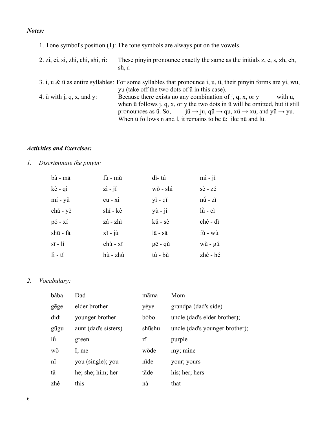### *Notes:*

|                                              | 1. Tone symbol's position (1): The tone symbols are always put on the vowels.                                                                                                                                                                                                                                                                                                                                                                                                |
|----------------------------------------------|------------------------------------------------------------------------------------------------------------------------------------------------------------------------------------------------------------------------------------------------------------------------------------------------------------------------------------------------------------------------------------------------------------------------------------------------------------------------------|
| 2. zi, ci, si, zhi, chi, shi, ri:            | These pinyin pronounce exactly the same as the initials z, c, s, zh, ch,<br>sh, r.                                                                                                                                                                                                                                                                                                                                                                                           |
|                                              | 3. i, u & $\ddot{u}$ as entire syllables: For some syllables that pronounce i, u, $\ddot{u}$ , their pinyin forms are yi, wu,<br>yu (take off the two dots of $\ddot{u}$ in this case).                                                                                                                                                                                                                                                                                      |
| 4. $\ddot{u}$ with $\ddot{u}$ , q, x, and y: | Because there exists no any combination of $\mathbf{i}$ , $\mathbf{q}$ , $\mathbf{x}$ , or $\mathbf{y}$<br>with u,<br>when $\ddot{u}$ follows j, q, x, or y the two dots in $\ddot{u}$ will be omitted, but it still<br>pronounces as $\ddot{u}$ . So, $\ddot{u} \rightarrow \dot{u}$ , q $\ddot{u} \rightarrow \dot{q}u$ , x $\ddot{u} \rightarrow xu$ , and $y\ddot{u} \rightarrow yu$ .<br>When $\ddot{u}$ follows n and l, it remains to be $\ddot{u}$ : like nu and lu. |

### *Activities and Exercises:*

*1. Discriminate the pinyin:* 

| bà - mā                     | fù - mǔ                           | dì-tú                    | $\overrightarrow{m}$ - $\overrightarrow{p}$ |
|-----------------------------|-----------------------------------|--------------------------|---------------------------------------------|
| kè - qì                     | $zi - ji$                         | wò - shì                 | sè - zé                                     |
| mí - yǔ                     | $c\bar{u}$ - $xi$                 | yì - qǐ                  | nů - zǐ                                     |
| chá - yè                    | shí - kè                          | $y\hat{u} - j\hat{i}$    | $l\ddot{u}$ - $ci$                          |
| $p\acute{o}$ - $x\acute{i}$ | zá - zhì                          | kŭ - sè                  | chè - dĭ                                    |
| shū - fǎ                    | $x\check{i} - \check{j}\check{u}$ | $l\bar{a}$ - s $\bar{a}$ | fú - wù                                     |
| $s\bar{s}$ - $l\bar{i}$     | chú - xī                          | $g\bar{e}$ - qu          | wǔ - gǔ                                     |
| $l\hat{i}$ - ti             | hù - zhù                          | tú - bù                  | zhé - hé                                    |

*2. Vocabulary:* 

| bàba         | Dad                  | māma   | Mom                            |
|--------------|----------------------|--------|--------------------------------|
| gēge         | elder brother        | yéye   | grandpa (dad's side)           |
| dìdi         | younger brother      | bóbo   | uncle (dad's elder brother);   |
| gūgu         | aunt (dad's sisters) | shūshu | uncle (dad's younger brother); |
| lù           | green                | zĭ     | purple                         |
| wǒ           | I; me                | wǒde   | my; mine                       |
| $n\check{1}$ | you (single); you    | nĭde   | your; yours                    |
| tā           | he; she; him; her    | tāde   | his; her; hers                 |
| zhè          | this                 | nà     | that                           |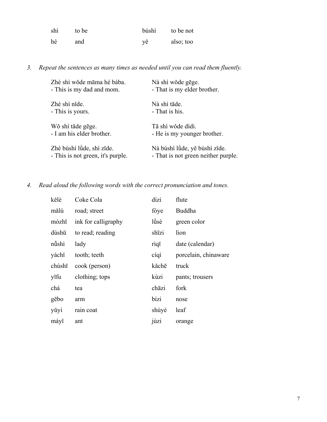| shì | to be | búshì | to be not |
|-----|-------|-------|-----------|
| hé  | and   | vě    | also; too |

*3. Repeat the sentences as many times as needed until you can read them fluently.* 

| Zhè shì wǒde māma hé bàba.        | Nà shì wǒde gēge.                   |
|-----------------------------------|-------------------------------------|
| - This is my dad and mom.         | - That is my elder brother.         |
| Zhè shì nǐde.                     | Nà shì tāde.                        |
| - This is yours.                  | - That is his.                      |
| Wǒ shì tāde gēge.                 | Tā shì wǒde dìdi.                   |
| - I am his elder brother.         | - He is my younger brother.         |
| Zhè búshì lùde, shì zǐde.         | Nà búshì lùde, yě búshì zíde.       |
| - This is not green, it's purple. | - That is not green neither purple. |

*4. Read aloud the following words with the correct pronunciation and tones.* 

| kělè   | Coke Cola           | dízi  | flute                |
|--------|---------------------|-------|----------------------|
| mălù   | road; street        | fóye  | Buddha               |
| mòzhī  | ink for calligraphy | lüsè  | green color          |
| dúshū  | to read; reading    | shīzi | lion                 |
| nüshì  | lady                | rìqī  | date (calendar)      |
| yáchĭ  | tooth; teeth        | cíqì  | porcelain, chinaware |
| chúshī | cook (person)       | kăchē | truck                |
| yīfu   | clothing; tops      | kùzi  | pants; trousers      |
| chá    | tea                 | chāzi | fork                 |
| gēbo   | arm                 | bízi  | nose                 |
| yǔyi   | rain coat           | shùyè | leaf                 |
| máyĭ   | ant                 | júzi  | orange               |
|        |                     |       |                      |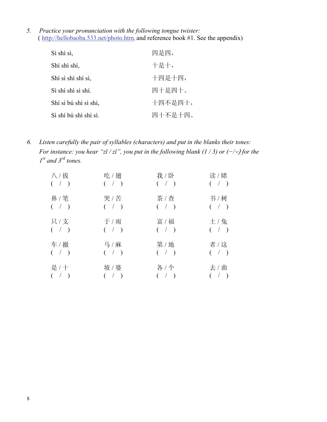*5. Practice your pronunciation with the following tongue twister:*  ( http://hellobaoba.533.net/photo.htm, and reference book #1. See the appendix)

| Sì shì sì,            | 四是四,    |
|-----------------------|---------|
| Shí shì shí,          | 十是十,    |
| Shí sì shì shí sì,    | 十四是十四,  |
| Sì shí shì sì shí.    | 四十是四十。  |
| Shí sì bú shì sì shí, | 十四不是四十, |
| Sì shí bú shì shí sì. | 四十不是十四。 |

*6. Listen carefully the pair of syllables (characters) and put in the blanks their tones: For instance: you hear "zī / zǐ", you put in the following blank (1 / 3) or (−/*⌵) *for the 1st and 3rd tones.* 

| 八 / 拔              | 吃/翅         | 我 / 卧                | 读 / 睹       |
|--------------------|-------------|----------------------|-------------|
| $($ $/$ $)$        | $($ $/$ $)$ | $($ $/$ $)$          | $($ / $)$   |
| 鼻/笔                | 哭 / 苦       | 茶 / 查                | 书 / 树       |
| $($ / $)$          | $($ / $)$   | $($ $/$ $)$          | $($ $/$ $)$ |
| 只/支                | 于 / 雨       | 富 / 福                | 土/兔         |
| $($ / $)$          | $($ $/$ $)$ | $($ $/$ $)$          | $($ $/$ $)$ |
| 车 / 撤              | 马 / 麻       | 第/地                  | 者 / 这       |
| $($ $/$ $)$        | $($ $/$ $)$ | $($ $/$ $)$          | $($ / $)$   |
| 是/十<br>$($ $/$ $)$ | 坡 / 婆       | 各 / 个<br>$($ $/$ $)$ |             |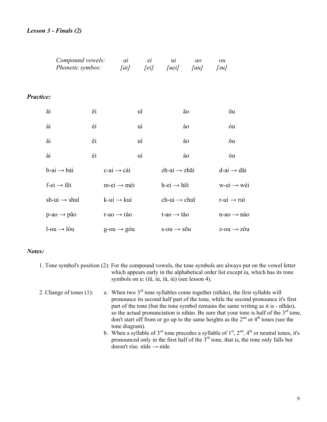|                  | Compound vowels:<br>Phonetic symbos: |    | ai<br>[ai]                  | ei<br>[ei] | ui<br><i>[uei]</i>                  | ao<br>$\lceil au \rceil$ | ou<br>$\lceil \partial u \rceil$ |                           |
|------------------|--------------------------------------|----|-----------------------------|------------|-------------------------------------|--------------------------|----------------------------------|---------------------------|
| <b>Practice:</b> |                                      |    |                             |            |                                     |                          |                                  |                           |
|                  | āi                                   | ēi |                             | uī         |                                     | āο                       | ōu                               |                           |
|                  | ái                                   | éi |                             | uí         |                                     | áo                       | óu                               |                           |
|                  | ăi                                   | ěi |                             | uĭ         |                                     | ăo                       | ŏu                               |                           |
|                  | ài                                   | èi |                             | uì         |                                     | ào                       | òu                               |                           |
|                  | $b$ -ai $\rightarrow b$ ái           |    | $c$ -ai $\rightarrow$ cài   |            | $zh-ai \rightarrow zh\overline{a}i$ |                          | $d$ -ai $\rightarrow$ dǎi        |                           |
|                  | $f$ -ei $\rightarrow$ fěi            |    | $mei \rightarrow m\dot{e}i$ |            | $h$ -ei $\rightarrow h$ ēi          |                          |                                  | $w$ -ei $\rightarrow$ wéi |
|                  | $sh-ui \rightarrow shui$             |    | $k$ -ui $\rightarrow$ kuí   |            | $ch-ui \rightarrow chu\bar{u}$      |                          | $r$ -ui $\rightarrow$ rui        |                           |
|                  | $p$ -ao $\rightarrow$ pão            |    | $r$ -ao $\rightarrow$ rào   |            | $t$ -ao $\rightarrow t$ ăo          |                          |                                  | $n$ -ao $\rightarrow$ náo |
|                  | $l$ -ou $\rightarrow$ lóu            |    | $g$ -ou $\rightarrow$ gòu   |            | $s$ -ou $\rightarrow$ sou           |                          |                                  | $z$ -ou $\rightarrow$ zou |

### *Notes:*

- 1. Tone symbol's position (2): For the compound vowels, the tone symbols are always put on the vowel letter which appears early in the alphabetical order list except iu, which has its tone symbols on u: (iū, iú, iǔ, iù) (see lesson 4).
- 2. Change of tones (1): a. When two  $3<sup>rd</sup>$  tone syllables come together (nihǎo), the first syllable will pronounce its second half part of the tone, while the second pronounce it's first part of the tone (but the tone symbol remains the same writing as it is - nǐhǎo), so the actual pronunciation is níhào. Be sure that your tone is half of the  $3<sup>rd</sup>$  tone, don't start off from or go up to the same heights as the  $2<sup>nd</sup>$  or  $4<sup>th</sup>$  tones (see the tone diagram).
	- b. When a syllable of  $3^{rd}$  tone precedes a syllable of  $1^{st}$ ,  $2^{nd}$ ,  $4^{th}$  or neutral tones, it's pronounced only in the first half of the  $3<sup>rd</sup>$  tone, that is, the tone only falls but doesn't rise. nǐde → nìde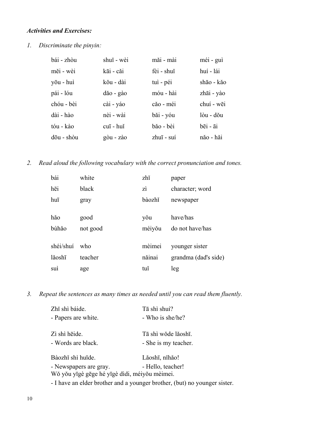### *Activities and Exercises:*

*1. Discriminate the pinyin:* 

| bái - zhòu | shuĭ - wèi                   | măi - mài  | méi - guì  |
|------------|------------------------------|------------|------------|
| měi - wèi  | kāi - căi                    | fèi - shuĭ | huí - lái  |
| yōu - huì  | kŏu - dài                    | tuì - péi  | shāo - kǎo |
| pái - lóu  | dăo - gào                    | móu - hài  | zhāi - yào |
| chóu - bèi | cài - yáo                    | căo - méi  | chuí - wēi |
| dài - hào  | nèi - wài                    | băi - yóu  | lòu - dŏu  |
| tóu - kào  | cuī - huǐ                    | băo - bèi  | bēi - āi   |
| dōu - shòu | $g\dot{\theta}u - z\dot{a}o$ | zhuī - suí | năo - hăi  |

*2. Read aloud the following vocabulary with the correct pronunciation and tones.* 

| bái       | white    | zhĭ    | paper                |
|-----------|----------|--------|----------------------|
| hēi       | black    | zì     | character; word      |
| huī       | gray     | bàozhĭ | newspaper            |
| hǎo       | good     | yŏu    | have/has             |
| bùhǎo     | not good | méiyǒu | do not have/has      |
| shéi/shuí | who      | mèimei | younger sister       |
| lăoshī    | teacher  | năinai | grandma (dad's side) |
| suì       | age      | tuĭ    | leg                  |

*3. Repeat the sentences as many times as needed until you can read them fluently.* 

| Zhǐ shì báide.                                                          | Tā shì shuí?                                                              |
|-------------------------------------------------------------------------|---------------------------------------------------------------------------|
| - Papers are white.                                                     | - Who is she/he?                                                          |
| Zì shì heide.                                                           | Tā shì wǒde lǎoshī.                                                       |
| - Words are black.                                                      | - She is my teacher.                                                      |
| Bàozhǐ shì huīde.                                                       | Lăoshī, nihăo!                                                            |
| - Newspapers are gray.<br>Wǒ yǒu yīgè gēge hé yīgè dìdi, méiyǒu mèimei. | - Hello, teacher!                                                         |
|                                                                         | - I have an elder brother and a younger brother, (but) no younger sister. |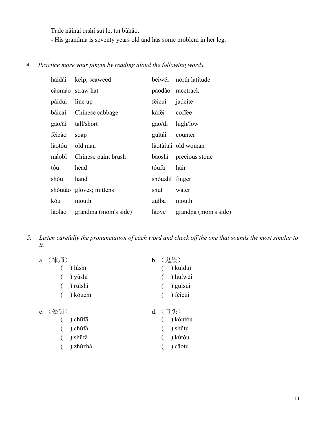Tāde nǎinai qīshí suì le, tuǐ bùhǎo.

- His grandma is seventy years old and has some problem in her leg.

### *4. Practice more your pinyin by reading aloud the following words.*

| hăidài | kelp; seaweed               |                      | běiwěi north latitude |
|--------|-----------------------------|----------------------|-----------------------|
|        | căomào straw hat            |                      | păodào racetrack      |
| páiduì | line up                     | fěicuì               | jadeite               |
| báicài | Chinese cabbage             | kāfēi                | coffee                |
| gāo/ǎi | tall/short                  | $g\bar{a}o/d\bar{a}$ | high/low              |
| féizào | soap                        | guitái               | counter               |
| lăotóu | old man                     |                      | lăotàitài old woman   |
| máobĭ  | Chinese paint brush         |                      | băoshí precious stone |
| tóu    | head                        | tóufa                | hair                  |
| shŏu   | hand                        | shŏuzhĭ finger       |                       |
|        | shoutão gloves; mittens     | shuĭ                 | water                 |
| kŏu    | mouth                       | zuĭba                | mouth                 |
|        | lăolao grandma (mom's side) | lăoye                | grandpa (mom's side)  |

*5. Listen carefully the pronunciation of each word and check off the one that sounds the most similar to it.* 

| a. (律师)                      | b. (鬼祟)                       |
|------------------------------|-------------------------------|
| $\left( \quad \right)$ lùshī | $( )$ kuidui                  |
| $($ ) yùshí                  | $( )$ huíwèi                  |
| $( )$ ruishi                 | $\left( \quad \right)$ guisui |
| $( )$ kǒuchī                 | $( )$ fěicui                  |
| c. (处罚)                      | d. (口头)                       |
| $\sim$ ( ) chūfā             | $($ \ kõutóu                  |

|  | $($ ) chūfā | () kŏutóu   |
|--|-------------|-------------|
|  | () chùfá    | $( )$ shǔtù |
|  | $( )$ shūfǎ | () kǔtóu    |
|  | () zhùzhá   | $($ ) căotú |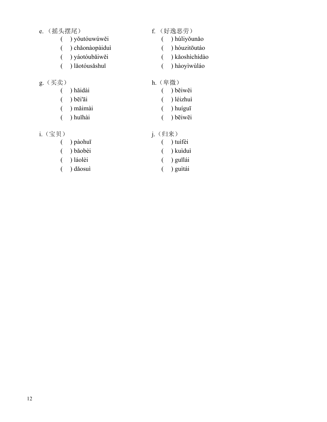### e. (摇头摆尾) <br>
http://www.f. (好逸恶劳)

- 
- ( ) yǒutóuwúwěi ( ) húliyǒunǎo
- ( ) chǎonàopàiduì ( ) hóuzitōutáo
- ( ) yáotóubǎiwěi ( ) kǎoshìchídào
- ( ) lǎotóusǎshuǐ ( ) hàoyìwùláo
- g. (买卖)<br>
( ) hǎidài<br>
( ) bě ( ) běiwěi ( ) bēi'āi ( ) léizhuì ( ) mǎimài ( ) huíguī ( ) huǐhài ( ) bēiwēi

- i.(宝贝) j.(归来)
	- ( ) pàohuī ( ) tuìfèi ( ) bǎobèi ( ) kuìduì ( ) láolèi ( ) guīlái ( ) dǎosuì ( ) guìtái
	-
- - -
		-
		-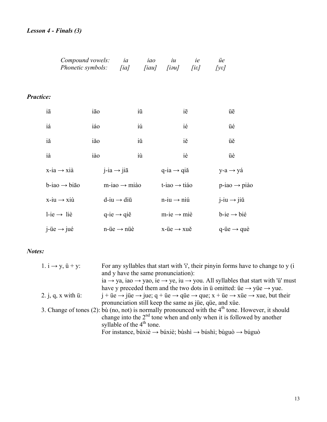### *Lesson 4 - Finals (3)*

|                  | Compound vowels:<br><i>Phonetic symbols:</i> [ia] | ia                          | iao | iu<br>[iau] [iəu]           | ie<br>$[$ i $\varepsilon$ ] | üe<br>$[y \varepsilon]$     |  |
|------------------|---------------------------------------------------|-----------------------------|-----|-----------------------------|-----------------------------|-----------------------------|--|
| <b>Practice:</b> |                                                   |                             |     |                             |                             |                             |  |
| iā               | iāo                                               |                             | iū  | iē                          |                             | üē                          |  |
| iá               | iáo                                               |                             | iú  | ié                          |                             | üé                          |  |
| iă               | iăo                                               |                             | iŭ  | iě                          |                             | üě                          |  |
| ià               | iào                                               |                             | iù  | iè                          |                             | üè                          |  |
|                  | $x$ -ia $\rightarrow$ xià                         | $i$ -ia $\rightarrow$ jiā   |     | $q$ -ia $\rightarrow$ qiǎ   |                             | $y-a \rightarrow y a$       |  |
|                  | $b$ -iao $\rightarrow$ bião                       | $m$ -iao $\rightarrow$ miào |     | $t$ -iao $\rightarrow$ tiáo |                             | $p$ -iao $\rightarrow$ piào |  |
|                  | $x$ -iu $\rightarrow$ xiù                         | $d$ -iu $\rightarrow$ diū   |     | $n$ -iu $\rightarrow$ niú   |                             | $j$ -iu $\rightarrow$ jiŭ   |  |
|                  | $l$ -ie $\rightarrow$ liè                         | $q$ -ie $\rightarrow$ qiě   |     | $m$ -ie $\rightarrow$ miè   |                             | $b$ -ie $\rightarrow$ bié   |  |
|                  | $i$ -üe $\rightarrow$ jué                         | $n$ -üe $\rightarrow$ nüè   |     | $x$ -üe $\rightarrow$ xuě   |                             | $q$ -üe $\rightarrow$ què   |  |

### *Notes:*

| 1. $i \rightarrow y$ , $ii + y$ : | For any syllables that start with $i'$ , their pinyin forms have to change to y (i)                                                                                                                            |
|-----------------------------------|----------------------------------------------------------------------------------------------------------------------------------------------------------------------------------------------------------------|
|                                   | and y have the same pronunciation):                                                                                                                                                                            |
|                                   | ia $\rightarrow$ ya, iao $\rightarrow$ yao, ie $\rightarrow$ ye, iu $\rightarrow$ you. All syllables that start with 'ü' must                                                                                  |
|                                   | have y preceded them and the two dots in $\ddot{u}$ omitted: $\ddot{u}e \rightarrow \dot{v} \ddot{u}e \rightarrow \dot{v} \ddot{u}e$ .                                                                         |
| 2. j, q, x with $\ddot{u}$ :      | $i + \text{ü}e \rightarrow \text{ü}e \rightarrow \text{ü}e$ ; $q + \text{ü}e \rightarrow \text{qu}e \rightarrow \text{que}$ ; $x + \text{ü}e \rightarrow \text{x\text{ü}e} \rightarrow \text{xue}$ , but their |
|                                   | pronunciation still keep the same as jue, que, and xue.                                                                                                                                                        |
|                                   | 3. Change of tones (2): bù (no, not) is normally pronounced with the $4th$ tone. However, it should                                                                                                            |
|                                   | change into the $2nd$ tone when and only when it is followed by another                                                                                                                                        |
|                                   | syllable of the $4th$ tone.                                                                                                                                                                                    |
|                                   | For instance, bûxiè $\rightarrow$ búxiè; bùshì $\rightarrow$ búshì; bùguò $\rightarrow$ búguò                                                                                                                  |
|                                   |                                                                                                                                                                                                                |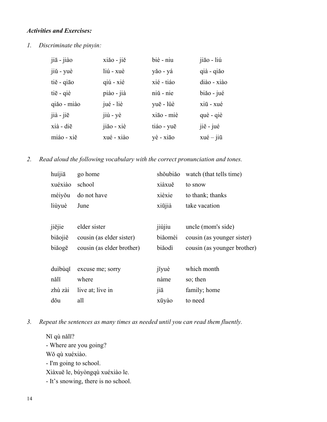### *Activities and Exercises:*

*1. Discriminate the pinyin:* 

| jiā - jiào  | xiăo - jiě           | biè - niu  | jiāo - liú                |
|-------------|----------------------|------------|---------------------------|
| jiŭ - yuè   | liú - xuè            | yǎo - yá   | qià - qiǎo                |
| tiĕ - qiāo  | $q\acute{i}u$ - $xi$ | xié - tiáo | diào - xiào               |
| tie - qiè   | piào - jià           | niŭ - nie  | biăo - jué                |
| qiǎo - miào | jué - liè            | yuē - lüè  | xiū - xué                 |
| jià - jiē   | jiù - yè             | xião - miè | què - qiè                 |
| xià - diē   | jiăo - xiè           | tiáo - yuē | jiě - jué                 |
| miáo - xiě  | xué - xiào           | yè - xião  | $xu\acute{e} - ji\bar{u}$ |

*2. Read aloud the following vocabulary with the correct pronunciation and tones.* 

| huíjiā  | go home                   | shŏubiăo                | watch (that tells time)     |
|---------|---------------------------|-------------------------|-----------------------------|
| xuéxiào | school                    | xiàxuě                  | to snow                     |
| méiyǒu  | do not have               | xièxie                  | to thank; thanks            |
| liùyuè  | June                      | xiūjià                  | take vacation               |
|         |                           |                         |                             |
| jiějie  | elder sister              | jiùjiu                  | uncle (mom's side)          |
| biăojiě | cousin (as elder sister)  | biăomèi                 | cousin (as younger sister)  |
| biăogē  | cousin (as elder brother) | biăodì                  | cousin (as younger brother) |
|         |                           |                         |                             |
| duibùqĭ | excuse me; sorry          | jíyuè                   | which month                 |
| nălĭ    | where                     | nàme                    | so; then                    |
| zhù zài | live at; live in          | $\overline{\text{}}$ iā | family; home                |
| dōu     | all                       | xūyào                   | to need                     |

*3. Repeat the sentences as many times as needed until you can read them fluently.* 

Ní qù nălǐ? - Where are you going? Wǒ qù xuéxiào. - I'm going to school. Xiàxuě le, búyòngqù xuéxiào le. - It's snowing, there is no school.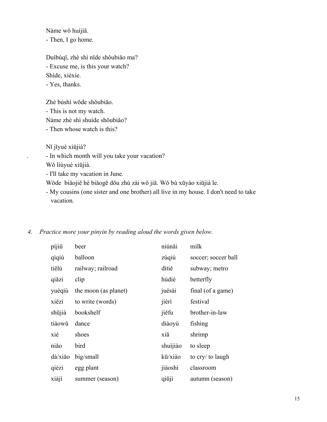Nàme wǒ huíjiā. - Then, I go home.

 Duìbùqǐ, zhè shì nǐde shǒubiǎo ma? - Excuse me, is this your watch? Shìde, xièxie. - Yes, thanks.

Zhè búshì wǒde shǒubiǎo.

 - This is not my watch. Nàme zhè shì shuíde shǒubiǎo? - Then whose watch is this?

Nǐ jǐyuè xiūjià?

. - In which month will you take your vacation?

Wǒ liùyuè xiūjià.

- I'll take my vacation in June.

Wǒde biǎojiě hé biǎogē dōu zhù zài wǒ jiā. Wǒ bù xūyào xiūjià le.

 - My cousins (one sister and one brother) all live in my house. I don't need to take vacation.

| 4. |  |  |  | Practice more your pinyin by reading aloud the words given below. |
|----|--|--|--|-------------------------------------------------------------------|
|----|--|--|--|-------------------------------------------------------------------|

| píjiǔ   | beer                 | niúnăi   | milk                |
|---------|----------------------|----------|---------------------|
| qìqiú   | balloon              | zúqiú    | soccer; soccer ball |
| tiělù   | railway; railroad    | ditiĕ    | subway; metro       |
| qiăzi   | clip                 | húdié    | betterfly           |
| yuèqiú  | the moon (as planet) | juésài   | final (of a game)   |
| xiězì   | to write (words)     | jiérì    | festival            |
| shūjià  | bookshelf            | jiěfu    | brother-in-law      |
| tiàowǔ  | dance                | diàoyú   | fishing             |
| xié     | shoes                | xiā      | shrimp              |
| niăo    | bird                 | shuìjiào | to sleep            |
| dà/xiǎo | big/small            | kū/xiào  | to cry/ to laugh    |
| qiézi   | egg plant            | jiàoshì  | classroom           |
| xiàjì   | summer (season)      | qiūjì    | autumn (season)     |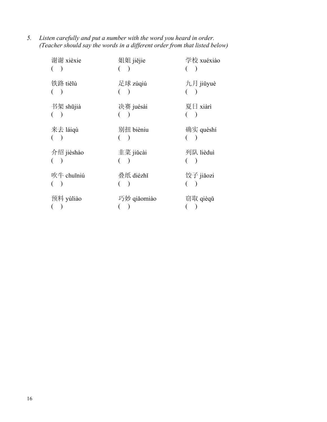*5. Listen carefully and put a number with the word you heard in order. (Teacher should say the words in a different order from that listed below)* 

| 谢谢 xièxie  | 姐姐 jiějie   | 学校 xuéxiào |
|------------|-------------|------------|
| 铁路 tiělù   | 足球 zúqiú    | 九月 jiǔyuè  |
| 书架 shūjià  | 决赛 juésài   | 夏日 xiàrì   |
| 来去 láiqù   | 别扭 bièniu   | 确实 quèshí  |
| 介绍 jièshào | 韭菜 jiǔcài   | 列队 lièduì  |
| 吹牛 chuīniú | 叠纸 diézhǐ   | 饺子 jiǎozi  |
| 预料 yùliào  | 巧妙 qiǎomiào | 窃取 qièqǔ   |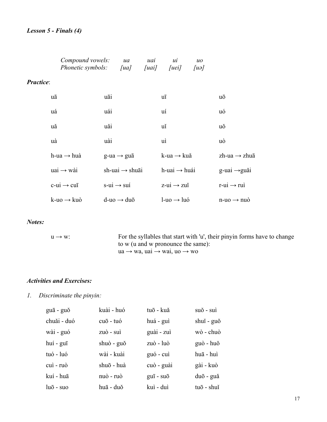### *Lesson 5 - Finals (4)*

|                  | Compound vowels:<br><i>Phonetic symbols:</i> | ua<br>[ua]                 | uai<br>[uai] | ui<br>[uei]                 | $\mathcal{U}^{\mathcal{O}}$<br>[ua] |                             |  |
|------------------|----------------------------------------------|----------------------------|--------------|-----------------------------|-------------------------------------|-----------------------------|--|
| <b>Practice:</b> |                                              |                            |              |                             |                                     |                             |  |
|                  | uā                                           | uāi                        |              | uī                          |                                     | uō                          |  |
|                  | uá                                           | uái                        |              | uí                          |                                     | uó                          |  |
|                  | uă                                           | uǎi                        |              | uĭ                          |                                     | uŏ                          |  |
|                  | uà                                           | uài                        |              | uì                          |                                     | uò                          |  |
|                  | h-ua $\rightarrow$ huà                       | $g$ -ua $\rightarrow$ gua  |              | $k$ -ua $\rightarrow$ kuǎ   |                                     | zh-ua $\rightarrow$ zhuā    |  |
|                  | $u$ ai $\rightarrow$ wài                     | sh-uai $\rightarrow$ shuāi |              | $h$ -uai $\rightarrow$ huái |                                     | $g$ -uai $\rightarrow$ guǎi |  |
|                  | $c$ -ui $\rightarrow$ cuī                    | $s$ -ui $\rightarrow$ sui  |              | $z$ -ui $\rightarrow$ zui   |                                     | $r$ -ui $\rightarrow$ rui   |  |
|                  | $k$ -uo $\rightarrow$ kuò                    | $d$ -uo $\rightarrow$ duō  |              | $l$ -uo $\rightarrow$ luó   |                                     | $n-w$ $\rightarrow$ nuò     |  |

### *Notes:*

| $11 \rightarrow W$ | For the syllables that start with 'u', their pinyin forms have to change |
|--------------------|--------------------------------------------------------------------------|
|                    | to w (u and w pronounce the same):                                       |
|                    | $ua \rightarrow wa$ , $uau \rightarrow wau$ , $uo \rightarrow wo$        |

### *Activities and Exercises:*

### *1. Discriminate the pinyin:*

| guā - guǒ         | kuài - huó | tuō - kuǎ             | suǒ - suì  |
|-------------------|------------|-----------------------|------------|
| chuăi - duó       | cuō - tuó  | huá - guì             | shui - guǒ |
| wài - guó         | zuò - suì  | guài - zuì            | wò - chuò  |
| huí - guī         | shuò - guǒ | zuò - luò             | guò - huǒ  |
| tuó - luó         | wài - kuài | guó - cui             | huā - huì  |
| cui - ruò         | shuō - huà | cuò - guài            | gài - kuò  |
| kuí - huā         | nuò - ruò  | $g\overline{u}$ - suo | duō - guă  |
| $lu\bar{o}$ - suo | huā - duǒ  | kuì - duì             | tuō - shuĭ |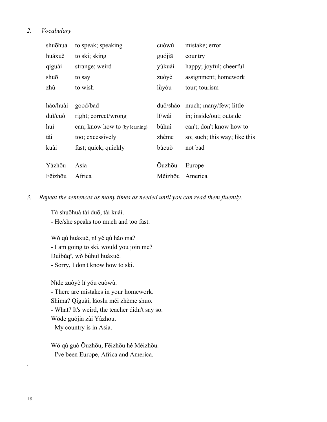### *2. Vocabulary*

| shuōhuà  | to speak; speaking             | cuòwù         | mistake; error                |
|----------|--------------------------------|---------------|-------------------------------|
| huáxuě   | to ski; sking                  | guójiā        | country                       |
| qíguài   | strange; weird                 | yúkuài        | happy; joyful; cheerful       |
| shuō     | to say                         | zuòyè         | assignment; homework          |
| zhù      | to wish                        | lüyóu         | tour; tourism                 |
|          |                                |               |                               |
| hăo/huài | good/bad                       | duō/shǎo      | much; many/few; little        |
| duì/cuò  | right; correct/wrong           | lĭ/wài        | in; inside/out; outside       |
| huì      | can; know how to (by learning) | búhuì         | can't; don't know how to      |
| tài      | too; excessively               | zhème         | so; such; this way; like this |
| kuài     | fast; quick; quickly           | búcuò         | not bad                       |
|          |                                |               |                               |
| Yàzhōu   | Asia                           | <b>Ouzhou</b> | Europe                        |
| Fēizhōu  | Africa                         | Měizhōu       | America                       |

*3. Repeat the sentences as many times as needed until you can read them fluently.* 

Tā shuōhuà tài duō, tài kuài.

- He/she speaks too much and too fast.

 Wǒ qù huáxuě, nǐ yě qù hǎo ma? - I am going to ski, would you join me? Duìbùqǐ, wǒ búhuì huáxuě. - Sorry, I don't know how to ski.

 Nǐde zuòyè lǐ yǒu cuòwù. - There are mistakes in your homework. Shìma? Qíguài, lǎoshī méi zhème shuō. - What? It's weird, the teacher didn't say so. Wǒde guójiā zài Yàzhōu. - My country is in Asia.

 Wǒ qù guò Ōuzhōu, Fēizhōu hé Měizhōu. - I've been Europe, Africa and America.

.